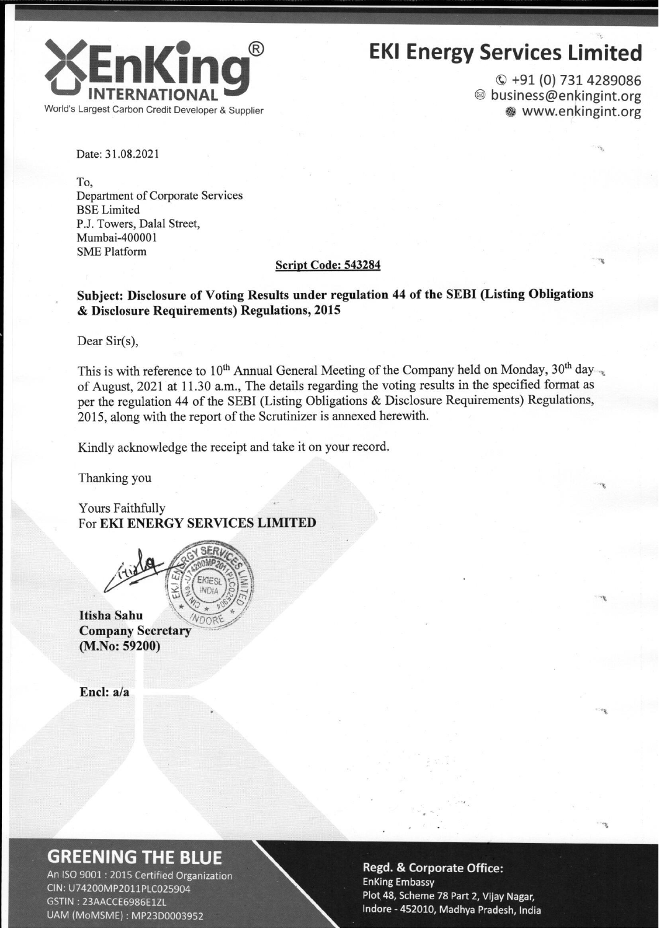

# **EKI Energy Services Limited**

© +91 (0) 731 4289086 <sup>◎</sup> business@enkingint.org www.enkingint.org

Date: 31.08.2021

To. Department of Corporate Services **BSE** Limited P.J. Towers, Dalal Street, Mumbai-400001 **SME Platform** 

#### Script Code: 543284

### Subject: Disclosure of Voting Results under regulation 44 of the SEBI (Listing Obligations & Disclosure Requirements) Regulations, 2015

Dear Sir(s),

This is with reference to  $10^{th}$  Annual General Meeting of the Company held on Monday,  $30^{th}$  day of August, 2021 at 11.30 a.m., The details regarding the voting results in the specified format as per the regulation 44 of the SEBI (Listing Obligations & Disclosure Requirements) Regulations, 2015, along with the report of the Scrutinizer is annexed herewith.

Kindly acknowledge the receipt and take it on your record.

Thanking you

Yours Faithfully For EKI ENERGY SERVICES LIMITED

**Itisha Sahu Company Secretary**  $(M.No: 59200)$ 

Encl:  $a/a$ 

### **GREENING THE BLUE**

An ISO 9001 : 2015 Certified Organization CIN: U74200MP2011PLC025904 GSTIN: 23AACCE6986E1ZL UAM (MoMSME): MP23D0003952

#### **Regd. & Corporate Office: EnKing Embassy** Plot 48, Scheme 78 Part 2, Vijay Nagar, Indore - 452010, Madhya Pradesh, India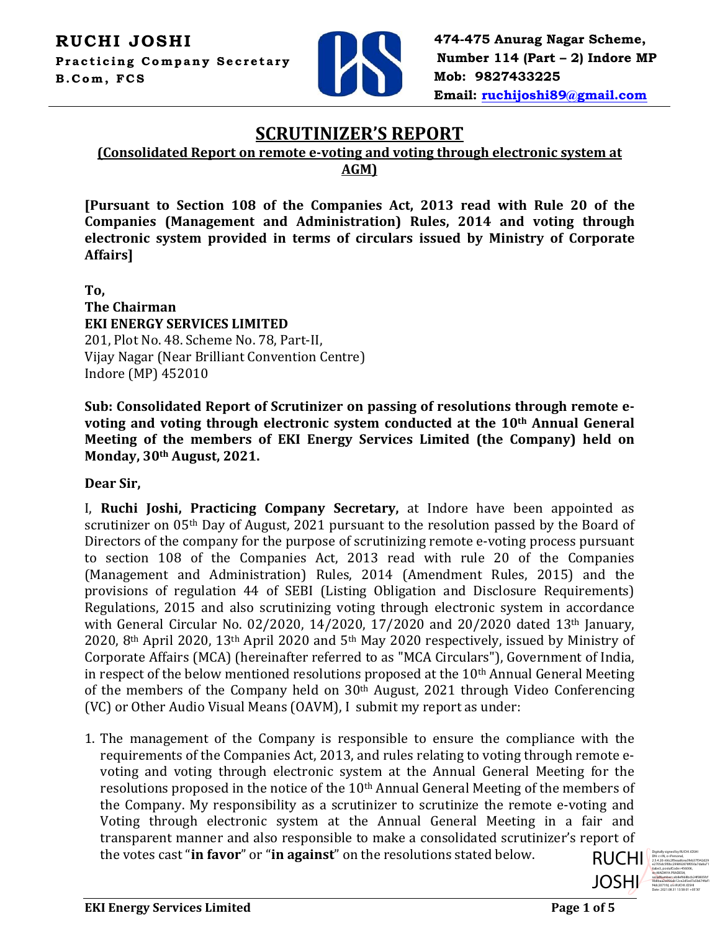

**474-475 Anurag Nagar Scheme, Number 114 (Part – 2) Indore MP Mob: 9827433225 Email: [ruchijoshi89@gmail.com](mailto:ruchijoshi89@gmail.com)**

### **SCRUTINIZER'S REPORT**

**(Consolidated Report on remote e-voting and voting through electronic system at** 

**AGM)**

**[Pursuant to Section 108 of the Companies Act, 2013 read with Rule 20 of the Companies (Management and Administration) Rules, 2014 and voting through electronic system provided in terms of circulars issued by Ministry of Corporate Affairs]**

**To, The Chairman EKI ENERGY SERVICES LIMITED** 201, Plot No. 48. Scheme No. 78, Part-II, Vijay Nagar (Near Brilliant Convention Centre) Indore (MP) 452010

**Sub: Consolidated Report of Scrutinizer on passing of resolutions through remote evoting and voting through electronic system conducted at the 10th Annual General Meeting of the members of EKI Energy Services Limited (the Company) held on Monday, 30th August, 2021.**

**Dear Sir,**

I, **Ruchi Joshi, Practicing Company Secretary,** at Indore have been appointed as scrutinizer on 05<sup>th</sup> Day of August, 2021 pursuant to the resolution passed by the Board of Directors of the company for the purpose of scrutinizing remote e-voting process pursuant to section 108 of the Companies Act, 2013 read with rule 20 of the Companies (Management and Administration) Rules, 2014 (Amendment Rules, 2015) and the provisions of regulation 44 of SEBI (Listing Obligation and Disclosure Requirements) Regulations, 2015 and also scrutinizing voting through electronic system in accordance with General Circular No. 02/2020, 14/2020, 17/2020 and 20/2020 dated 13th January, 2020, 8th April 2020, 13th April 2020 and 5th May 2020 respectively, issued by Ministry of Corporate Affairs (MCA) (hereinafter referred to as "MCA Circulars"), Government of India, in respect of the below mentioned resolutions proposed at the 10<sup>th</sup> Annual General Meeting of the members of the Company held on 30th August, 2021 through Video Conferencing (VC) or Other Audio Visual Means (OAVM), I submit my report as under:

1. The management of the Company is responsible to ensure the compliance with the requirements of the Companies Act, 2013, and rules relating to voting through remote evoting and voting through electronic system at the Annual General Meeting for the resolutions proposed in the notice of the 10<sup>th</sup> Annual General Meeting of the members of the Company. My responsibility as a scrutinizer to scrutinize the remote e-voting and Voting through electronic system at the Annual General Meeting in a fair and transparent manner and also responsible to make a consolidated scrutinizer's report of the votes cast "**in favor**" or "**in against**" on the resolutions stated below.



DN: c=IN, o=Personal, 2.5.4.20=66c2f0eaa8cea3feb37f342d29 e2705dc5f0bc299892878f050a7da8a71 6abe3, postalCode=456006, st=MADHYA PRADESH, serialNumber=eb8ef668bcb24f0805fcf 9b8baa2a056ab12ce2d5ed7a5b674faf1 f4dc2071fd, cn=RUCHI JOSHI Date: 2021.08.31 13:58:01 +05'30'

Digitally signed by RUCHI JOSHI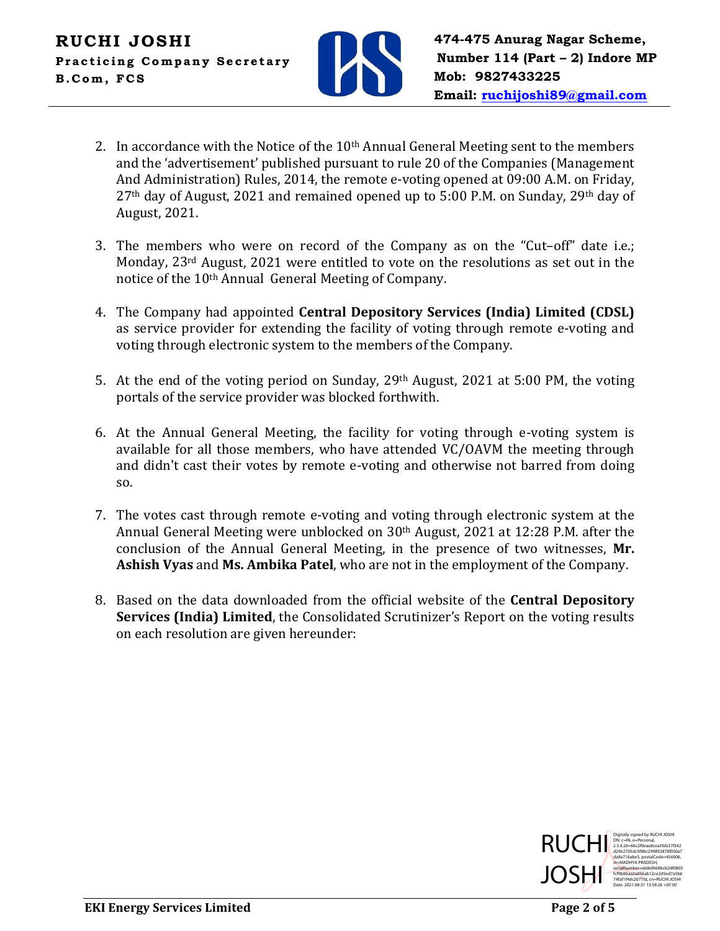

- 2. In accordance with the Notice of the  $10<sup>th</sup>$  Annual General Meeting sent to the members and the 'advertisement' published pursuant to rule 20 of the Companies (Management And Administration) Rules, 2014, the remote e-voting opened at 09:00 A.M. on Friday, 27th day of August, 2021 and remained opened up to 5:00 P.M. on Sunday, 29th day of August, 2021.
- 3. The members who were on record of the Company as on the "Cut–off" date i.e.; Monday, 23rd August, 2021 were entitled to vote on the resolutions as set out in the notice of the 10th Annual General Meeting of Company.
- 4. The Company had appointed **Central Depository Services (India) Limited (CDSL)** as service provider for extending the facility of voting through remote e-voting and voting through electronic system to the members of the Company.
- 5. At the end of the voting period on Sunday,  $29<sup>th</sup>$  August,  $2021$  at 5:00 PM, the voting portals of the service provider was blocked forthwith.
- 6. At the Annual General Meeting, the facility for voting through e-voting system is available for all those members, who have attended VC/OAVM the meeting through and didn't cast their votes by remote e-voting and otherwise not barred from doing so.
- 7. The votes cast through remote e-voting and voting through electronic system at the Annual General Meeting were unblocked on 30th August, 2021 at 12:28 P.M. after the conclusion of the Annual General Meeting, in the presence of two witnesses, **Mr. Ashish Vyas** and **Ms. Ambika Patel**, who are not in the employment of the Company.
- 8. Based on the data downloaded from the official website of the **Central Depository Services (India) Limited**, the Consolidated Scrutinizer's Report on the voting results on each resolution are given hereunder:

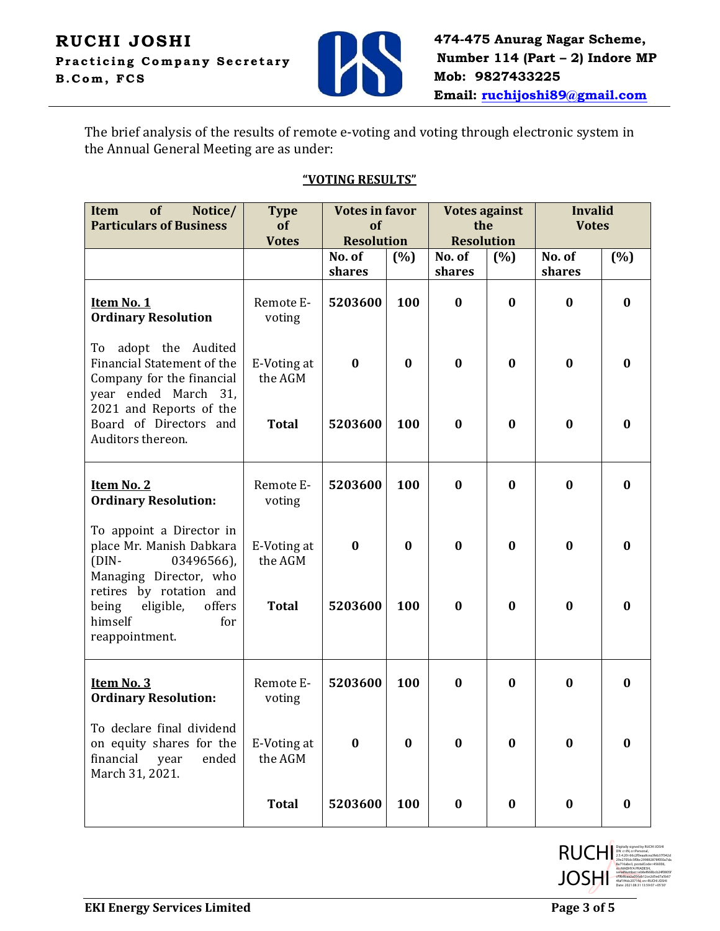

The brief analysis of the results of remote e-voting and voting through electronic system in the Annual General Meeting are as under:

#### **"VOTING RESULTS"**

| <b>Item</b><br>of<br>Notice/<br><b>Particulars of Business</b>                                                                     | <b>Type</b><br>of<br><b>Votes</b> | <b>Votes in favor</b><br>of<br><b>Resolution</b> |          | <b>Votes against</b><br>the<br><b>Resolution</b> |                  | <b>Invalid</b><br><b>Votes</b> |          |
|------------------------------------------------------------------------------------------------------------------------------------|-----------------------------------|--------------------------------------------------|----------|--------------------------------------------------|------------------|--------------------------------|----------|
|                                                                                                                                    |                                   | No. of<br>shares                                 | (%)      | No. of<br>shares                                 | (%)              | No. of<br>shares               | (%)      |
| Item No. 1<br><b>Ordinary Resolution</b>                                                                                           | Remote E-<br>voting               | 5203600                                          | 100      | $\bf{0}$                                         | $\bf{0}$         | $\bf{0}$                       | $\bf{0}$ |
| To adopt the Audited<br>Financial Statement of the<br>Company for the financial<br>year ended March 31,<br>2021 and Reports of the | E-Voting at<br>the AGM            | $\bf{0}$                                         | $\bf{0}$ | $\bf{0}$                                         | $\bf{0}$         | $\bf{0}$                       | $\bf{0}$ |
| Board of Directors and<br>Auditors thereon.                                                                                        | <b>Total</b>                      | 5203600                                          | 100      | $\bf{0}$                                         | $\bf{0}$         | $\bf{0}$                       | $\bf{0}$ |
| Item No. 2<br><b>Ordinary Resolution:</b>                                                                                          | Remote E-<br>voting               | 5203600                                          | 100      | $\bf{0}$                                         | $\bf{0}$         | $\bf{0}$                       | $\bf{0}$ |
| To appoint a Director in<br>place Mr. Manish Dabkara<br>03496566),<br>$(DIN -$<br>Managing Director, who                           | E-Voting at<br>the AGM            | $\bf{0}$                                         | $\bf{0}$ | $\bf{0}$                                         | $\bf{0}$         | $\bf{0}$                       | $\bf{0}$ |
| retires by rotation and<br>eligible,<br>offers<br>being<br>himself<br>for<br>reappointment.                                        | <b>Total</b>                      | 5203600                                          | 100      | $\bf{0}$                                         | $\bf{0}$         | $\bf{0}$                       | $\bf{0}$ |
| Item No. 3<br><b>Ordinary Resolution:</b>                                                                                          | Remote E-<br>voting               | 5203600                                          | 100      | $\bf{0}$                                         | $\bf{0}$         | $\bf{0}$                       | $\bf{0}$ |
| To declare final dividend<br>on equity shares for the<br>financial<br>ended<br>year<br>March 31, 2021.                             | E-Voting at<br>the AGM            | $\bf{0}$                                         | $\bf{0}$ | $\bf{0}$                                         | $\bf{0}$         | $\bf{0}$                       | $\bf{0}$ |
|                                                                                                                                    | <b>Total</b>                      | 5203600                                          | 100      | $\boldsymbol{0}$                                 | $\boldsymbol{0}$ | $\boldsymbol{0}$               | $\bf{0}$ |

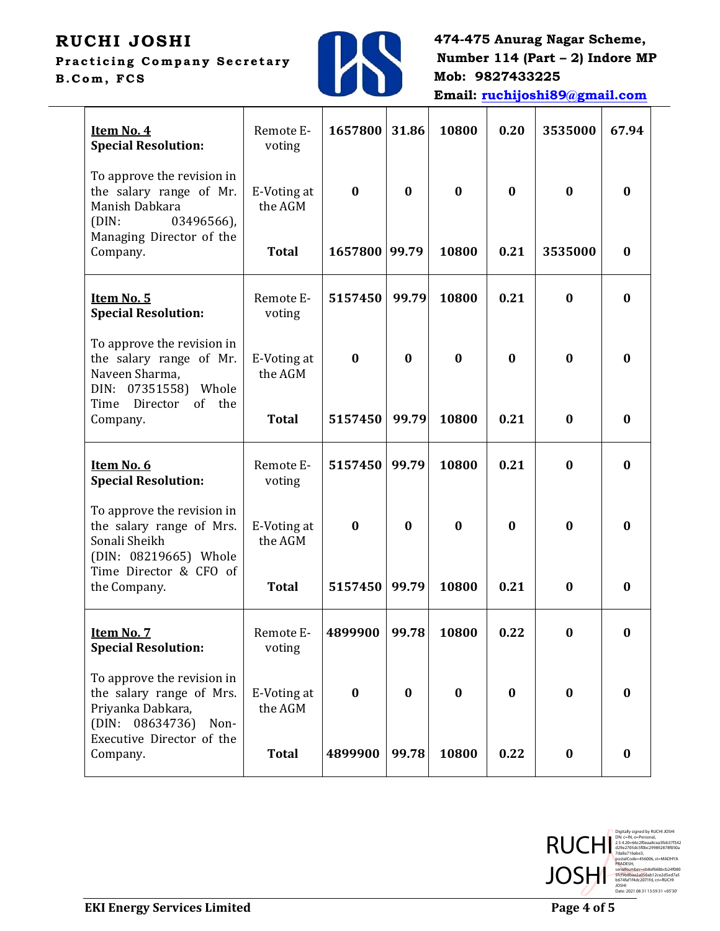# **RUCHI JOSHI**

**Practicing Company Secretary B.Com, FC S**



**474-475 Anurag Nagar Scheme, Number 114 (Part – 2) Indore MP Mob: 9827433225 Email: [ruchijoshi89@gmail.com](mailto:ruchijoshi89@gmail.com)**

| Item No. 4<br><b>Special Resolution:</b>                                                               | Remote E-<br>voting    | 1657800       | 31.86    | 10800    | 0.20     | 3535000          | 67.94    |
|--------------------------------------------------------------------------------------------------------|------------------------|---------------|----------|----------|----------|------------------|----------|
| To approve the revision in<br>the salary range of Mr.<br>Manish Dabkara<br>03496566),<br>(DIN:         | E-Voting at<br>the AGM | $\bf{0}$      | $\bf{0}$ | $\bf{0}$ | $\bf{0}$ | $\bf{0}$         | $\bf{0}$ |
| Managing Director of the<br>Company.                                                                   | <b>Total</b>           | 1657800 99.79 |          | 10800    | 0.21     | 3535000          | $\bf{0}$ |
| Item No. 5<br><b>Special Resolution:</b>                                                               | Remote E-<br>voting    | 5157450       | 99.79    | 10800    | 0.21     | $\bf{0}$         | $\bf{0}$ |
| To approve the revision in<br>the salary range of Mr.<br>Naveen Sharma,<br>DIN: 07351558) Whole        | E-Voting at<br>the AGM | $\bf{0}$      | $\bf{0}$ | $\bf{0}$ | $\bf{0}$ | $\bf{0}$         | $\bf{0}$ |
| of the<br>Time<br>Director<br>Company.                                                                 | <b>Total</b>           | 5157450       | 99.79    | 10800    | 0.21     | $\bf{0}$         | $\bf{0}$ |
| Item No. 6<br><b>Special Resolution:</b>                                                               | Remote E-<br>voting    | 5157450       | 99.79    | 10800    | 0.21     | $\bf{0}$         | $\bf{0}$ |
| To approve the revision in<br>the salary range of Mrs.<br>Sonali Sheikh<br>(DIN: 08219665) Whole       | E-Voting at<br>the AGM | $\bf{0}$      | $\bf{0}$ | $\bf{0}$ | $\bf{0}$ | $\bf{0}$         | $\bf{0}$ |
| Time Director & CFO of<br>the Company.                                                                 | <b>Total</b>           | 5157450       | 99.79    | 10800    | 0.21     | $\bf{0}$         | $\bf{0}$ |
| Item No. 7<br><b>Special Resolution:</b>                                                               | Remote E-<br>voting    | 4899900       | 99.78    | 10800    | 0.22     | $\boldsymbol{0}$ | 0        |
| To approve the revision in<br>the salary range of Mrs.<br>Priyanka Dabkara,<br>(DIN: 08634736)<br>Non- | E-Voting at<br>the AGM | $\bf{0}$      | $\bf{0}$ | $\bf{0}$ | $\bf{0}$ | $\bf{0}$         | $\bf{0}$ |
| Executive Director of the<br>Company.                                                                  | <b>Total</b>           | 4899900       | 99.78    | 10800    | 0.22     | $\bf{0}$         | $\bf{0}$ |

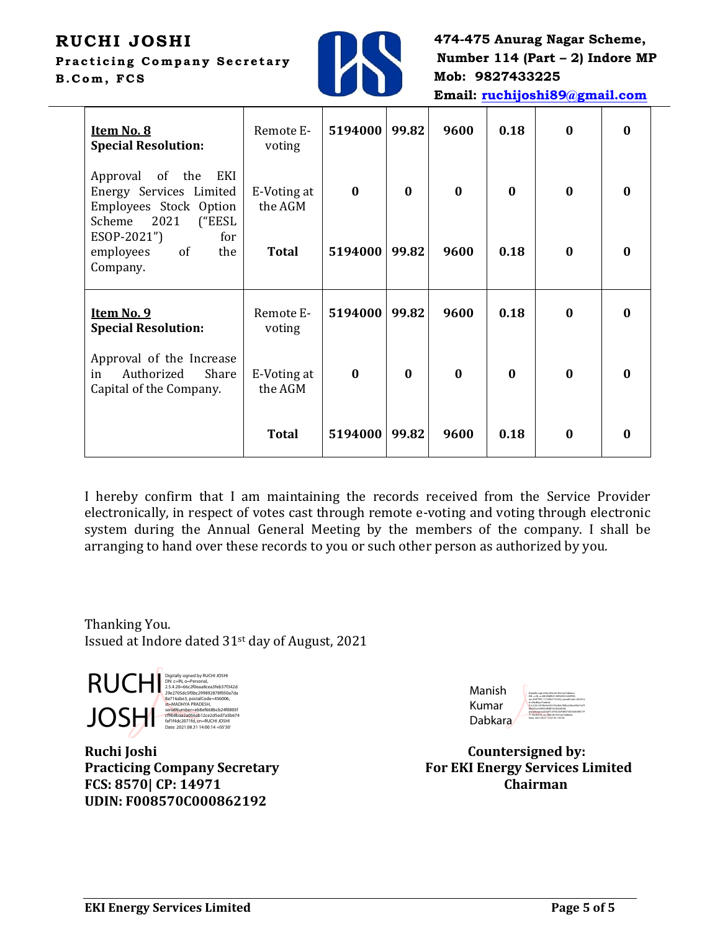## **RUCHI JOSHI**

**Practicing Company Secretary B.Com, FC S**



**474-475 Anurag Nagar Scheme, Number 114 (Part – 2) Indore MP Mob: 9827433225 Email: [ruchijoshi89@gmail.com](mailto:ruchijoshi89@gmail.com)**

| Item No. 8<br><b>Special Resolution:</b>                                                                   | Remote E-<br>voting    | 5194000  | 99.82    | 9600     | 0.18         | $\mathbf{0}$ | $\mathbf{0}$ |
|------------------------------------------------------------------------------------------------------------|------------------------|----------|----------|----------|--------------|--------------|--------------|
| of the<br>EKI<br>Approval<br>Energy Services Limited<br>Employees Stock Option<br>2021<br>("EESL<br>Scheme | E-Voting at<br>the AGM | $\bf{0}$ | $\bf{0}$ | $\bf{0}$ | $\bf{0}$     | $\mathbf{0}$ | $\bf{0}$     |
| ESOP-2021")<br>for<br>of<br>the<br>employees<br>Company.                                                   | <b>Total</b>           | 5194000  | 99.82    | 9600     | 0.18         | $\mathbf{0}$ | 0            |
| Item No. 9<br><b>Special Resolution:</b>                                                                   | Remote E-<br>voting    | 5194000  | 99.82    | 9600     | 0.18         | $\mathbf{0}$ | $\mathbf{0}$ |
| Approval of the Increase<br>Authorized<br>in<br>Share<br>Capital of the Company.                           | E-Voting at<br>the AGM | $\bf{0}$ | $\bf{0}$ | $\bf{0}$ | $\mathbf{0}$ | $\mathbf{0}$ | 0            |
|                                                                                                            | <b>Total</b>           | 5194000  | 99.82    | 9600     | 0.18         | $\mathbf{0}$ | 0            |

I hereby confirm that I am maintaining the records received from the Service Provider electronically, in respect of votes cast through remote e-voting and voting through electronic system during the Annual General Meeting by the members of the company. I shall be arranging to hand over these records to you or such other person as authorized by you.

Thanking You. Issued at Indore dated 31st day of August, 2021

**RUCHI** Digitally signed by RUCHI JOSHI<br>
2.5.4.20=662f0eaa8cea3feb37f342d<br>
29e2705dc5f0bc299992878f050a7da<br>
8a716abe3, postalCode=456006, step<br>
st=MADHYA PRADESH, serialNumber=eb8ef668bcb24f0805f **JOSHI**<br>Faf1f4dc2071fd, cn=RUCHI JOSHI TOBER 2021.08.31674<br>Date: 2021.08.31 14:00:14 +05'30'

**Ruchi Joshi Countersigned by: FCS: 8570| CP: 14971 Chairman UDIN: F008570C000862192** 

| Manish         | Digitally signed by Manish Kumar Dabkara<br>DN: c=IN, o=DG ENERGY SERVICES LIMITED.                                                                                                                 |
|----------------|-----------------------------------------------------------------------------------------------------------------------------------------------------------------------------------------------------|
| Kumar          | our:DGFTIDC-1116902176-002.postalCoder:452010.<br>st: Machya Pradesh.<br>2.5.4.20+5919b9e345195e5bb7085a240eef5b51d7f<br>bfc044ce54903ef84876c4b4d544f.<br>pseudonymnA192FC4792CE2F48D74D640D69E17F |
| <b>Dabkara</b> | 7116540C23, cnr.Manish Kumar Dabkara<br>Date: 2021.08.31 17:07:50 +05'30"                                                                                                                           |

**Practicing Company Secretary For EKI Energy Services Limited**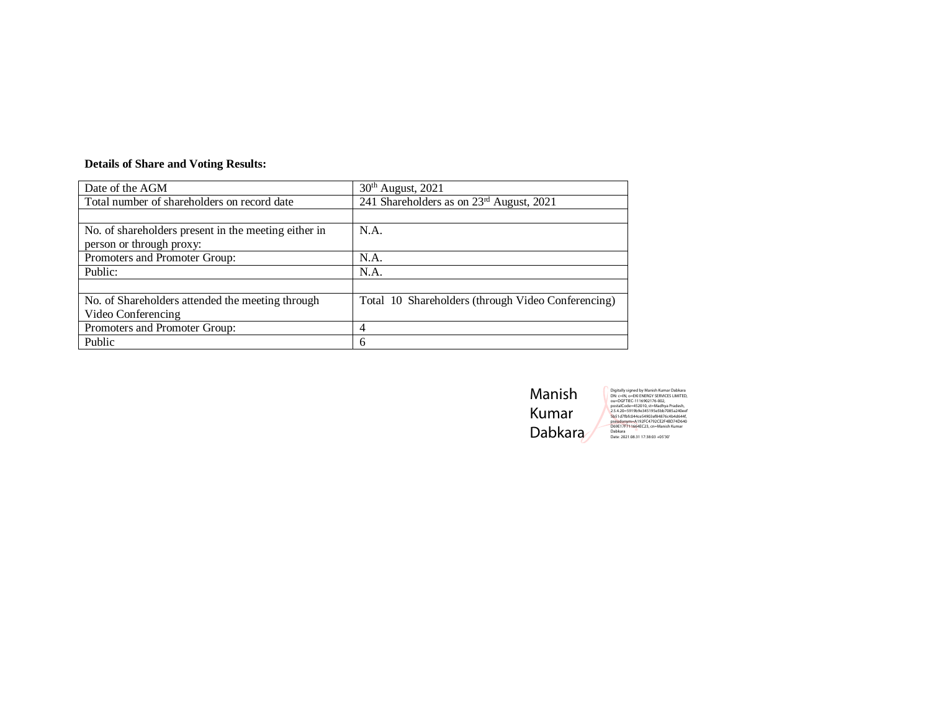#### **Details of Share and Voting Results:**

| Date of the AGM                                      | 30 <sup>th</sup> August, 2021                      |
|------------------------------------------------------|----------------------------------------------------|
| Total number of shareholders on record date          | 241 Shareholders as on 23rd August, 2021           |
|                                                      |                                                    |
| No. of shareholders present in the meeting either in | N.A.                                               |
| person or through proxy:                             |                                                    |
| Promoters and Promoter Group:                        | N.A.                                               |
| Public:                                              | N.A.                                               |
|                                                      |                                                    |
| No. of Shareholders attended the meeting through     | Total 10 Shareholders (through Video Conferencing) |
| Video Conferencing                                   |                                                    |
| Promoters and Promoter Group:                        | 4                                                  |
| Public                                               | 6                                                  |

Manish Kumar Dabkara Digitally signed by Manish Kumar Dabkara<br>Die Die Helfe (\* 1968)<br>2010 – Celly Ger (\* 1969)<br>25 Antoine – 1969 Paul Albert, amerikansk protokolog<br>25.4 20 – 1970 – 1989 Paul Albert, amerikansk politik<br>1951 – 1970 – 1989 Paul A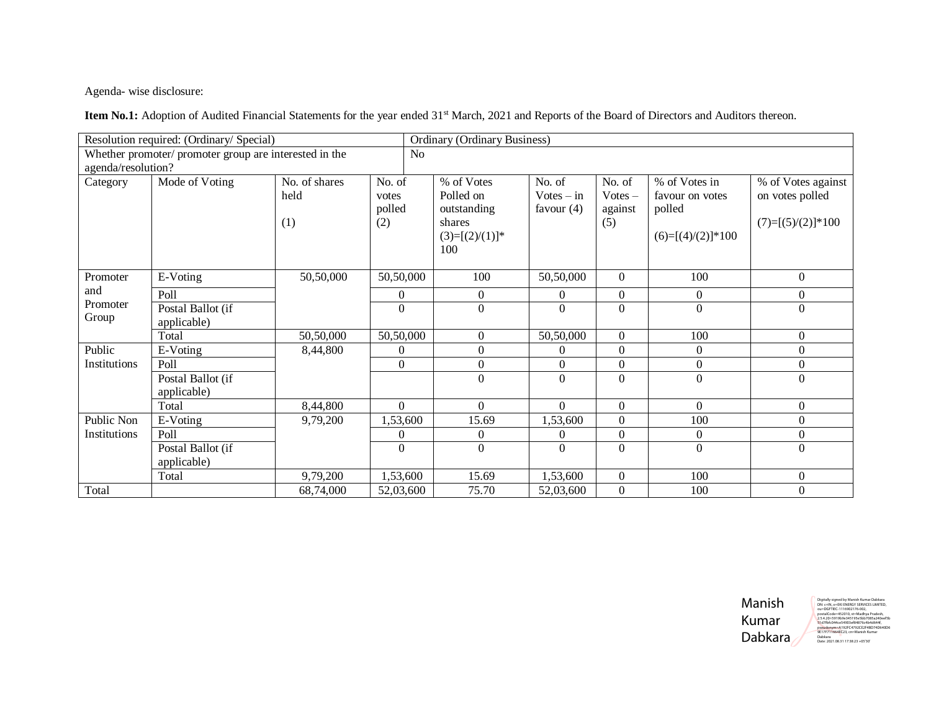Agenda- wise disclosure:

Item No.1: Adoption of Audited Financial Statements for the year ended 31<sup>st</sup> March, 2021 and Reports of the Board of Directors and Auditors thereon.

|                    | Resolution required: (Ordinary/ Special)               |               |                |    | <b>Ordinary (Ordinary Business)</b> |                  |                  |                     |                     |
|--------------------|--------------------------------------------------------|---------------|----------------|----|-------------------------------------|------------------|------------------|---------------------|---------------------|
|                    | Whether promoter/ promoter group are interested in the |               |                | No |                                     |                  |                  |                     |                     |
| agenda/resolution? |                                                        |               |                |    |                                     |                  |                  |                     |                     |
| Category           | Mode of Voting                                         | No. of shares | No. of         |    | % of Votes                          | No. of           | No. of           | % of Votes in       | % of Votes against  |
|                    |                                                        | held          | votes          |    | Polled on                           | $Votes - in$     | $Votes -$        | favour on votes     | on votes polled     |
|                    |                                                        |               | polled         |    | outstanding                         | favour $(4)$     | against          | polled              |                     |
|                    |                                                        | (1)           | (2)            |    | shares                              |                  | (5)              |                     | $(7)=[(5)/(2)]*100$ |
|                    |                                                        |               |                |    | $(3)=[(2)/(1)]^*$<br>100            |                  |                  | $(6)=[(4)/(2)]*100$ |                     |
|                    |                                                        |               |                |    |                                     |                  |                  |                     |                     |
| Promoter           | E-Voting                                               | 50,50,000     | 50,50,000      |    | 100                                 | 50,50,000        | $\Omega$         | 100                 | $\boldsymbol{0}$    |
| and                | Poll                                                   |               | $\theta$       |    | $\Omega$                            | $\Omega$         | $\mathbf{0}$     | $\overline{0}$      | $\boldsymbol{0}$    |
| Promoter           | Postal Ballot (if                                      |               | $\theta$       |    | $\Omega$                            | $\Omega$         | $\Omega$         | $\theta$            | $\Omega$            |
| Group              | applicable)                                            |               |                |    |                                     |                  |                  |                     |                     |
|                    | Total                                                  | 50,50,000     | 50,50,000      |    | $\theta$                            | 50,50,000        | $\boldsymbol{0}$ | 100                 | $\mathbf{0}$        |
| Public             | E-Voting                                               | 8,44,800      | $\Omega$       |    | $\Omega$                            | $\Omega$         | $\boldsymbol{0}$ | $\overline{0}$      | $\boldsymbol{0}$    |
| Institutions       | Poll                                                   |               | $\overline{0}$ |    | $\Omega$                            | $\boldsymbol{0}$ | $\boldsymbol{0}$ | $\boldsymbol{0}$    | $\boldsymbol{0}$    |
|                    | Postal Ballot (if                                      |               |                |    | $\Omega$                            | $\Omega$         | $\overline{0}$   | $\theta$            | $\Omega$            |
|                    | applicable)                                            |               |                |    |                                     |                  |                  |                     |                     |
|                    | Total                                                  | 8,44,800      | $\overline{0}$ |    | $\Omega$                            | $\Omega$         | $\boldsymbol{0}$ | $\Omega$            | $\mathbf{0}$        |
| Public Non         | E-Voting                                               | 9,79,200      | 1,53,600       |    | 15.69                               | 1,53,600         | $\Omega$         | 100                 | $\mathbf{0}$        |
| Institutions       | Poll                                                   |               | $\theta$       |    | $\Omega$                            | $\theta$         | $\boldsymbol{0}$ | $\overline{0}$      | $\overline{0}$      |
|                    | Postal Ballot (if                                      |               | $\mathbf{0}$   |    | $\Omega$                            | $\overline{0}$   | $\overline{0}$   | $\overline{0}$      | $\mathbf{0}$        |
|                    | applicable)                                            |               |                |    |                                     |                  |                  |                     |                     |
|                    | Total                                                  | 9,79,200      | 1,53,600       |    | 15.69                               | 1,53,600         | $\boldsymbol{0}$ | 100                 | $\mathbf{0}$        |
| Total              |                                                        | 68,74,000     | 52,03,600      |    | 75.70                               | 52,03,600        | $\boldsymbol{0}$ | 100                 | $\mathbf{0}$        |

Manish Kumar Dabkara

Digitally signed by Manish Kumar Dabkara<br>DN: c=IN, o=EKI ENERGY SERVICES LIMITED,<br>ou=DGFTIEC-1116902176-002, postalCode=452010, st=Madhya Pradesh,<br>2.5.4.20=5919b9e345195e5bb7085a240eef5b<br>31d7fbfc044ce54903ef84876c4b4d644f,<br>pseudonym=A192FC4792CE2F48D74D640D6<br>9E17F711664EC23, cn=Manish Kumar<br>Dabkara<br>Dabkara 2021.08.311738c23 +05'3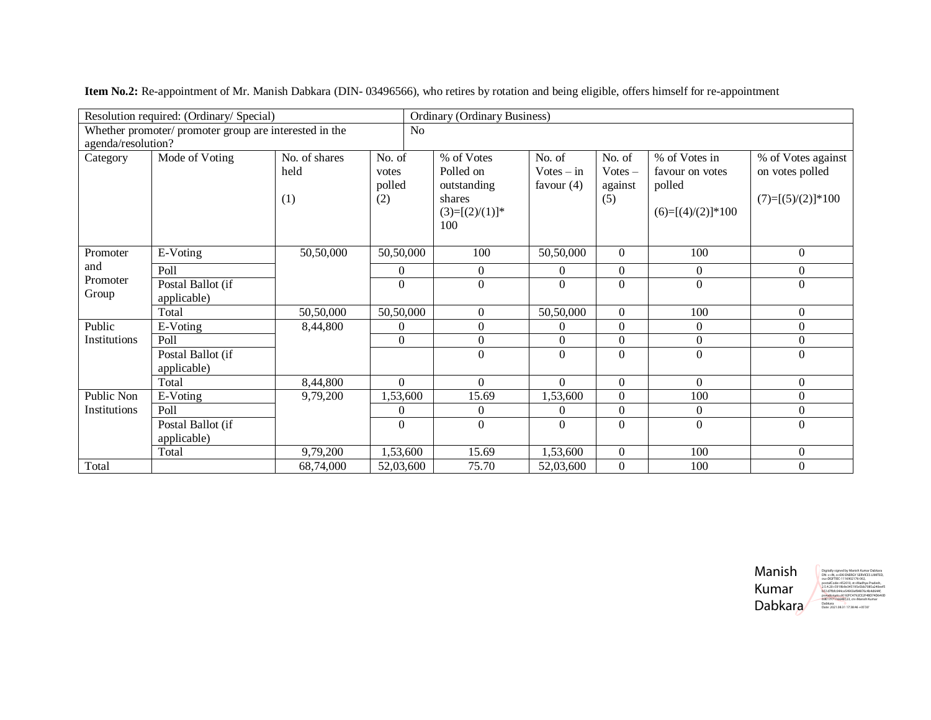|                    | Resolution required: (Ordinary/ Special)               |                              |                                  | <b>Ordinary (Ordinary Business)</b>                                          |                                        |                                       |                                                                   |                                                              |
|--------------------|--------------------------------------------------------|------------------------------|----------------------------------|------------------------------------------------------------------------------|----------------------------------------|---------------------------------------|-------------------------------------------------------------------|--------------------------------------------------------------|
| agenda/resolution? | Whether promoter/ promoter group are interested in the |                              | N <sub>0</sub>                   |                                                                              |                                        |                                       |                                                                   |                                                              |
| Category           | Mode of Voting                                         | No. of shares<br>held<br>(1) | No. of<br>votes<br>polled<br>(2) | % of Votes<br>Polled on<br>outstanding<br>shares<br>$(3)=[(2)/(1)]^*$<br>100 | No. of<br>$Votes - in$<br>favour $(4)$ | No. of<br>$Votes -$<br>against<br>(5) | % of Votes in<br>favour on votes<br>polled<br>$(6)=[(4)/(2)]*100$ | % of Votes against<br>on votes polled<br>$(7)=[(5)/(2)]*100$ |
| Promoter           | E-Voting                                               | 50,50,000                    | 50,50,000                        | 100                                                                          | 50,50,000                              | $\Omega$                              | 100                                                               | $\boldsymbol{0}$                                             |
| and                | Poll                                                   |                              | $\overline{0}$                   | $\Omega$                                                                     | $\Omega$                               | $\mathbf{0}$                          | $\overline{0}$                                                    | $\boldsymbol{0}$                                             |
| Promoter<br>Group  | Postal Ballot (if<br>applicable)                       |                              | $\boldsymbol{0}$                 | $\Omega$                                                                     | $\Omega$                               | $\mathbf{0}$                          | $\overline{0}$                                                    | $\boldsymbol{0}$                                             |
|                    | Total                                                  | 50,50,000                    | 50,50,000                        | $\Omega$                                                                     | 50,50,000                              | $\mathbf{0}$                          | 100                                                               | $\boldsymbol{0}$                                             |
| Public             | E-Voting                                               | 8,44,800                     | $\boldsymbol{0}$                 | $\Omega$                                                                     | $\Omega$                               | $\boldsymbol{0}$                      | $\boldsymbol{0}$                                                  | $\boldsymbol{0}$                                             |
| Institutions       | Poll                                                   |                              | $\boldsymbol{0}$                 | $\boldsymbol{0}$                                                             | $\Omega$                               | $\mathbf{0}$                          | $\overline{0}$                                                    | $\boldsymbol{0}$                                             |
|                    | Postal Ballot (if<br>applicable)                       |                              |                                  | $\Omega$                                                                     | $\Omega$                               | $\Omega$                              | $\Omega$                                                          | $\mathbf{0}$                                                 |
|                    | Total                                                  | 8,44,800                     | $\overline{0}$                   | $\Omega$                                                                     | $\Omega$                               | $\mathbf{0}$                          | $\overline{0}$                                                    | $\boldsymbol{0}$                                             |
| Public Non         | E-Voting                                               | 9,79,200                     | 1,53,600                         | 15.69                                                                        | 1,53,600                               | $\overline{0}$                        | 100                                                               | $\boldsymbol{0}$                                             |
| Institutions       | Poll                                                   |                              | $\theta$                         | $\Omega$                                                                     | $\Omega$                               | $\overline{0}$                        | $\overline{0}$                                                    | $\boldsymbol{0}$                                             |
|                    | Postal Ballot (if<br>applicable)                       |                              | $\overline{0}$                   | $\Omega$                                                                     | $\Omega$                               | $\overline{0}$                        | $\boldsymbol{0}$                                                  | $\boldsymbol{0}$                                             |
|                    | Total                                                  | 9,79,200                     | 1,53,600                         | 15.69                                                                        | 1,53,600                               | $\overline{0}$                        | 100                                                               | $\boldsymbol{0}$                                             |
| Total              |                                                        | 68,74,000                    | 52,03,600                        | 75.70                                                                        | 52,03,600                              | $\overline{0}$                        | 100                                                               | $\mathbf{0}$                                                 |

**Item No.2:** Re-appointment of Mr. Manish Dabkara (DIN- 03496566), who retires by rotation and being eligible, offers himself for re-appointment

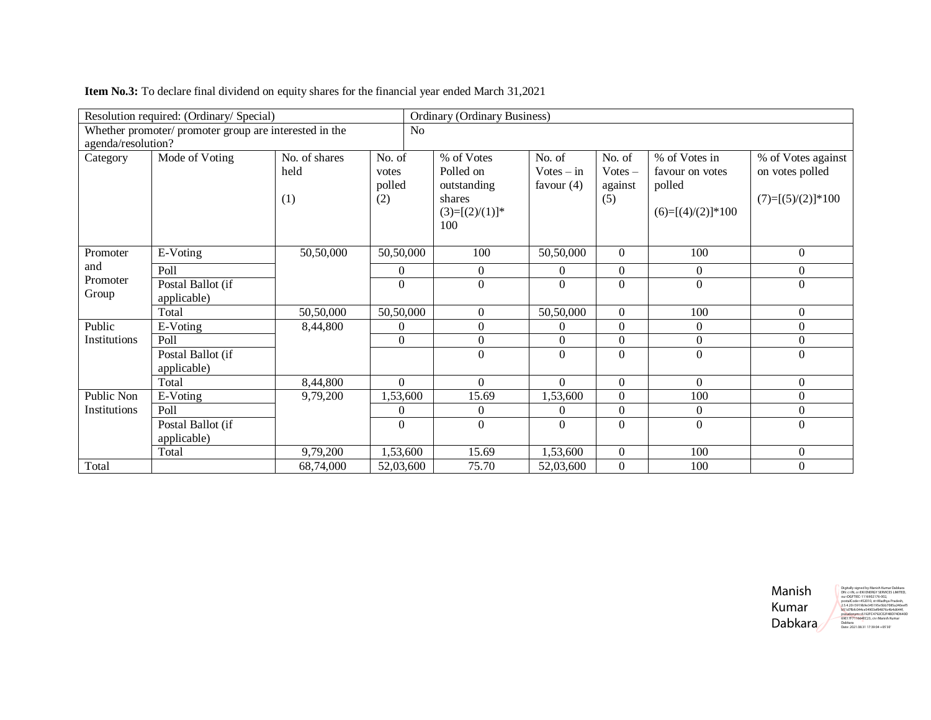|                     | Resolution required: (Ordinary/ Special)               |               |           |                | <b>Ordinary (Ordinary Business)</b> |              |                  |                     |                     |
|---------------------|--------------------------------------------------------|---------------|-----------|----------------|-------------------------------------|--------------|------------------|---------------------|---------------------|
|                     | Whether promoter/ promoter group are interested in the |               |           | N <sub>o</sub> |                                     |              |                  |                     |                     |
| agenda/resolution?  |                                                        |               |           |                |                                     |              |                  |                     |                     |
| Category            | Mode of Voting                                         | No. of shares | No. of    |                | % of Votes                          | No. of       | No. of           | % of Votes in       | % of Votes against  |
|                     |                                                        | held          | votes     |                | Polled on                           | $Votes - in$ | $Votes -$        | favour on votes     | on votes polled     |
|                     |                                                        |               | polled    |                | outstanding                         | favour $(4)$ | against          | polled              |                     |
|                     |                                                        | (1)           | (2)       |                | shares                              |              | (5)              |                     | $(7)=[(5)/(2)]*100$ |
|                     |                                                        |               |           |                | $(3)=[(2)/(1)]^*$                   |              |                  | $(6)=[(4)/(2)]*100$ |                     |
|                     |                                                        |               |           |                | 100                                 |              |                  |                     |                     |
|                     |                                                        |               |           |                |                                     |              |                  |                     |                     |
| Promoter            | E-Voting                                               | 50,50,000     | 50,50,000 |                | 100                                 | 50,50,000    | $\overline{0}$   | 100                 | $\boldsymbol{0}$    |
| and                 | Poll                                                   |               | 0         |                | $\Omega$                            | $\Omega$     | $\mathbf{0}$     | $\overline{0}$      | $\boldsymbol{0}$    |
| Promoter            | Postal Ballot (if                                      |               | $\theta$  |                | $\Omega$                            | $\Omega$     | $\overline{0}$   | $\Omega$            | $\Omega$            |
| Group               | applicable)                                            |               |           |                |                                     |              |                  |                     |                     |
|                     | Total                                                  | 50,50,000     | 50,50,000 |                | $\mathbf{0}$                        | 50,50,000    | $\overline{0}$   | 100                 | $\boldsymbol{0}$    |
| Public              | E-Voting                                               | 8,44,800      | $\Omega$  |                | $\theta$                            | $\Omega$     | $\boldsymbol{0}$ | $\overline{0}$      | $\boldsymbol{0}$    |
| Institutions        | Poll                                                   |               | $\Omega$  |                | $\overline{0}$                      | $\Omega$     | $\mathbf{0}$     | $\overline{0}$      | $\mathbf{0}$        |
|                     | Postal Ballot (if                                      |               |           |                | $\Omega$                            | $\Omega$     | $\Omega$         | $\Omega$            | $\Omega$            |
|                     | applicable)                                            |               |           |                |                                     |              |                  |                     |                     |
|                     | Total                                                  | 8,44,800      | $\Omega$  |                | $\Omega$                            | $\Omega$     | $\mathbf{0}$     | $\Omega$            | $\mathbf{0}$        |
| Public Non          | E-Voting                                               | 9,79,200      | 1,53,600  |                | 15.69                               | 1,53,600     | $\overline{0}$   | 100                 | $\boldsymbol{0}$    |
| <b>Institutions</b> | Poll                                                   |               | $\theta$  |                | $\Omega$                            | $\Omega$     | $\mathbf{0}$     | $\boldsymbol{0}$    | $\boldsymbol{0}$    |
|                     | Postal Ballot (if                                      |               | $\theta$  |                | $\Omega$                            | $\Omega$     | $\mathbf{0}$     | $\boldsymbol{0}$    | $\boldsymbol{0}$    |
|                     | applicable)                                            |               |           |                |                                     |              |                  |                     |                     |
|                     | Total                                                  | 9,79,200      | 1,53,600  |                | 15.69                               | 1,53,600     | $\mathbf{0}$     | 100                 | $\boldsymbol{0}$    |
| Total               |                                                        | 68,74,000     | 52,03,600 |                | 75.70                               | 52,03,600    | $\mathbf{0}$     | 100                 | $\mathbf{0}$        |

**Item No.3:** To declare final dividend on equity shares for the financial year ended March 31,2021

Manish Kumar Dabkara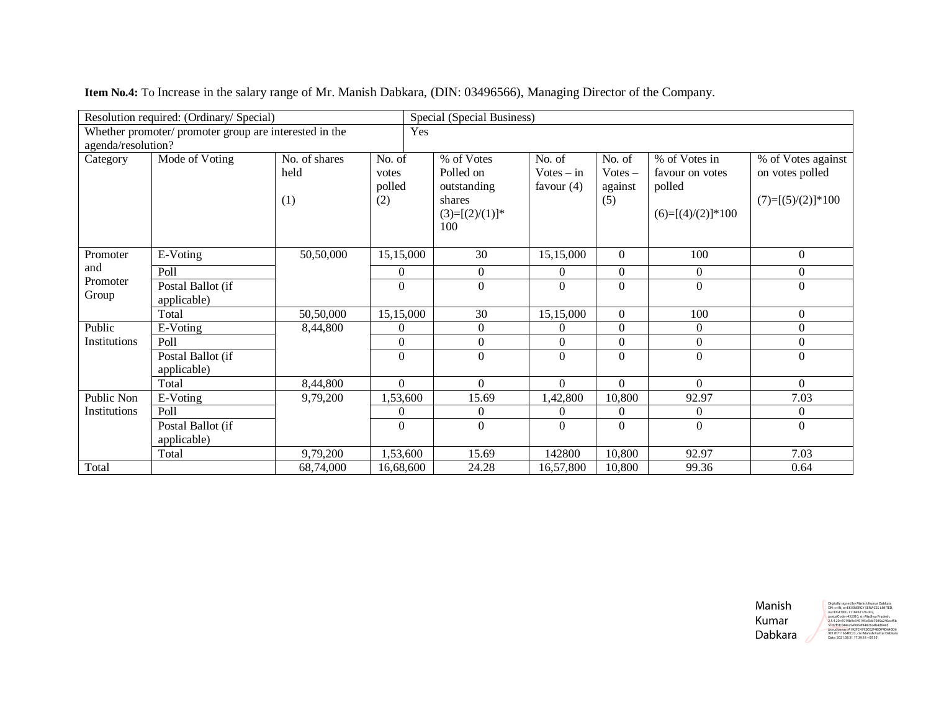|                    | Resolution required: (Ordinary/ Special)               |                              |                                  | Special (Special Business)                                                   |                                        |                                       |                                                                   |                                                              |
|--------------------|--------------------------------------------------------|------------------------------|----------------------------------|------------------------------------------------------------------------------|----------------------------------------|---------------------------------------|-------------------------------------------------------------------|--------------------------------------------------------------|
| agenda/resolution? | Whether promoter/ promoter group are interested in the |                              | Yes                              |                                                                              |                                        |                                       |                                                                   |                                                              |
| Category           | Mode of Voting                                         | No. of shares<br>held<br>(1) | No. of<br>votes<br>polled<br>(2) | % of Votes<br>Polled on<br>outstanding<br>shares<br>$(3)=[(2)/(1)]^*$<br>100 | No. of<br>$Votes - in$<br>favour $(4)$ | No. of<br>$Votes -$<br>against<br>(5) | % of Votes in<br>favour on votes<br>polled<br>$(6)=[(4)/(2)]*100$ | % of Votes against<br>on votes polled<br>$(7)=[(5)/(2)]*100$ |
| Promoter           | E-Voting                                               | 50,50,000                    | 15,15,000                        | 30                                                                           | 15,15,000                              | $\Omega$                              | 100                                                               | $\mathbf{0}$                                                 |
| and                | Poll                                                   |                              | $\overline{0}$                   | $\theta$                                                                     | $\Omega$                               | $\overline{0}$                        | $\overline{0}$                                                    | $\overline{0}$                                               |
| Promoter<br>Group  | Postal Ballot (if<br>applicable)                       |                              | $\theta$                         | $\Omega$                                                                     | $\Omega$                               | $\Omega$                              | $\Omega$                                                          | $\Omega$                                                     |
|                    | Total                                                  | 50,50,000                    | 15,15,000                        | 30                                                                           | 15,15,000                              | $\overline{0}$                        | 100                                                               | $\boldsymbol{0}$                                             |
| Public             | E-Voting                                               | 8,44,800                     | $\theta$                         | $\Omega$                                                                     | $\Omega$                               | $\overline{0}$                        | $\overline{0}$                                                    | $\boldsymbol{0}$                                             |
| Institutions       | Poll                                                   |                              | $\boldsymbol{0}$                 | $\Omega$                                                                     | $\Omega$                               | $\boldsymbol{0}$                      | $\boldsymbol{0}$                                                  | $\boldsymbol{0}$                                             |
|                    | Postal Ballot (if<br>applicable)                       |                              | $\Omega$                         | $\Omega$                                                                     | $\Omega$                               | $\Omega$                              | $\Omega$                                                          | $\mathbf{0}$                                                 |
|                    | Total                                                  | 8,44,800                     | $\overline{0}$                   | $\Omega$                                                                     | $\Omega$                               | $\boldsymbol{0}$                      | $\Omega$                                                          | $\overline{0}$                                               |
| Public Non         | E-Voting                                               | 9,79,200                     | 1,53,600                         | 15.69                                                                        | 1,42,800                               | 10,800                                | 92.97                                                             | 7.03                                                         |
| Institutions       | Poll                                                   |                              | $\theta$                         | $\Omega$                                                                     | $\Omega$                               | $\overline{0}$                        | $\boldsymbol{0}$                                                  | $\boldsymbol{0}$                                             |
|                    | Postal Ballot (if<br>applicable)                       |                              | $\theta$                         | $\Omega$                                                                     | $\Omega$                               | $\Omega$                              | $\boldsymbol{0}$                                                  | $\boldsymbol{0}$                                             |
|                    | Total                                                  | 9,79,200                     | 1,53,600                         | 15.69                                                                        | 142800                                 | 10,800                                | 92.97                                                             | 7.03                                                         |
| Total              |                                                        | 68,74,000                    | 16,68,600                        | 24.28                                                                        | 16,57,800                              | 10,800                                | 99.36                                                             | 0.64                                                         |

**Item No.4:** To Increase in the salary range of Mr. Manish Dabkara, (DIN: 03496566), Managing Director of the Company.

Manish Kumar Dabkara

Digitally signed by Manish Kumar Dabkara DN: c=IN, o=EKI ENERGY SERVICES LIMITED, ou=DGFTIEC-1116902176-002, postalCode=4<br>2.5.4.20=5919 2.5.4.20=5919b9e345195e3bb7085a240e<br>51d7fhfc044ce54903ef84876c4h4d644f 51d7fbfc044ce54903ef84876c4b4d644f, pseudonym=A192FC4792CE2F4BD74D640D6 9E17F711664EC23, cn=Manish Kumar Dabkara Date: 2021.08.31 17:39:18 +05'30'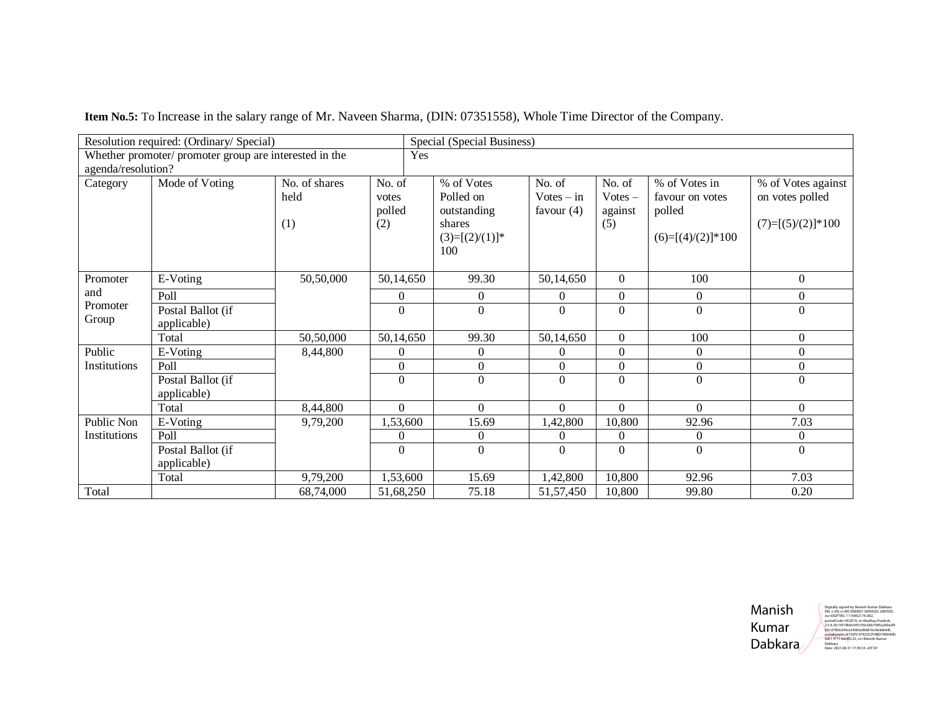| Resolution required: (Ordinary/ Special)<br>Special (Special Business) |                                                        |               |           |     |                   |              |                  |                     |                     |
|------------------------------------------------------------------------|--------------------------------------------------------|---------------|-----------|-----|-------------------|--------------|------------------|---------------------|---------------------|
|                                                                        | Whether promoter/ promoter group are interested in the |               |           | Yes |                   |              |                  |                     |                     |
| agenda/resolution?                                                     |                                                        |               |           |     |                   |              |                  |                     |                     |
| Category                                                               | Mode of Voting                                         | No. of shares | No. of    |     | % of Votes        | No. of       | No. of           | % of Votes in       | % of Votes against  |
|                                                                        |                                                        | held          | votes     |     | Polled on         | $Votes - in$ | $Votes -$        | favour on votes     | on votes polled     |
|                                                                        |                                                        |               | polled    |     | outstanding       | favour $(4)$ | against          | polled              |                     |
|                                                                        |                                                        | (1)           | (2)       |     | shares            |              | (5)              |                     | $(7)=[(5)/(2)]*100$ |
|                                                                        |                                                        |               |           |     | $(3)=[(2)/(1)]^*$ |              |                  | $(6)=[(4)/(2)]*100$ |                     |
|                                                                        |                                                        |               |           |     | 100               |              |                  |                     |                     |
|                                                                        |                                                        |               |           |     |                   |              |                  |                     |                     |
| Promoter                                                               | E-Voting                                               | 50,50,000     | 50,14,650 |     | 99.30             | 50,14,650    | $\mathbf{0}$     | 100                 | $\overline{0}$      |
| and                                                                    | Poll                                                   |               | $\Omega$  |     | $\overline{0}$    | $\Omega$     | $\boldsymbol{0}$ | $\overline{0}$      | $\overline{0}$      |
| Promoter                                                               | Postal Ballot (if                                      |               | $\theta$  |     | $\Omega$          | $\Omega$     | $\overline{0}$   | $\boldsymbol{0}$    | $\overline{0}$      |
| Group                                                                  | applicable)                                            |               |           |     |                   |              |                  |                     |                     |
|                                                                        | Total                                                  | 50,50,000     | 50,14,650 |     | 99.30             | 50,14,650    | $\boldsymbol{0}$ | 100                 | $\boldsymbol{0}$    |
| Public                                                                 | E-Voting                                               | 8,44,800      | $\Omega$  |     | $\theta$          | $\theta$     | $\mathbf{0}$     | $\overline{0}$      | $\boldsymbol{0}$    |
| Institutions                                                           | Poll                                                   |               | $\theta$  |     | $\mathbf{0}$      | $\theta$     | $\boldsymbol{0}$ | $\overline{0}$      | $\overline{0}$      |
|                                                                        | Postal Ballot (if                                      |               | $\Omega$  |     | $\Omega$          | $\Omega$     | $\overline{0}$   | $\Omega$            | $\Omega$            |
|                                                                        | applicable)                                            |               |           |     |                   |              |                  |                     |                     |
|                                                                        | Total                                                  | 8,44,800      | $\Omega$  |     | $\overline{0}$    | $\Omega$     | $\overline{0}$   | $\Omega$            | $\Omega$            |
| Public Non                                                             | E-Voting                                               | 9,79,200      | 1,53,600  |     | 15.69             | 1,42,800     | 10,800           | 92.96               | 7.03                |
| Institutions                                                           | Poll                                                   |               | 0         |     | $\overline{0}$    | $\theta$     | $\boldsymbol{0}$ | $\boldsymbol{0}$    | $\boldsymbol{0}$    |
|                                                                        | Postal Ballot (if                                      |               | $\Omega$  |     | $\theta$          | $\Omega$     | $\Omega$         | $\boldsymbol{0}$    | $\Omega$            |
|                                                                        | applicable)                                            |               |           |     |                   |              |                  |                     |                     |
|                                                                        | Total                                                  | 9,79,200      | 1,53,600  |     | 15.69             | 1,42,800     | 10,800           | 92.96               | 7.03                |
| Total                                                                  |                                                        | 68,74,000     | 51,68,250 |     | 75.18             | 51, 57, 450  | 10,800           | 99.80               | 0.20                |

**Item No.5:** To Increase in the salary range of Mr. Naveen Sharma, (DIN: 07351558), Whole Time Director of the Company.

Manish Kumar Dabkara Digitally signed by Manish Kumar Dabkara<br>Digitally signed By Manish Kumar Dabkara<br>postalCode=452010, st=Madhya Pradesh,<br>postalCode=452010, st=Madhya Pradesh,<br>2.5.4.20=5919be8-453195e5bb7085a240ee5<br>b51d7br0044ce54003ef8487c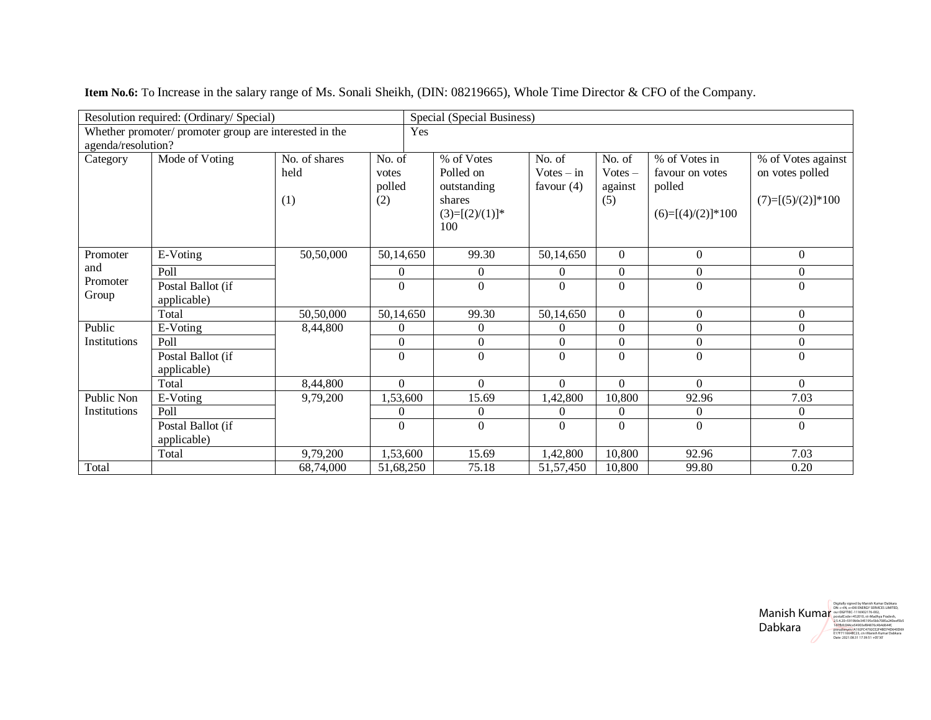|                    | Resolution required: (Ordinary/ Special)               |               |                  | Special (Special Business) |                  |                |                     |                     |
|--------------------|--------------------------------------------------------|---------------|------------------|----------------------------|------------------|----------------|---------------------|---------------------|
|                    | Whether promoter/ promoter group are interested in the |               | Yes              |                            |                  |                |                     |                     |
| agenda/resolution? |                                                        |               |                  |                            |                  |                |                     |                     |
| Category           | Mode of Voting                                         | No. of shares | No. of           | % of Votes                 | No. of           | No. of         | % of Votes in       | % of Votes against  |
|                    |                                                        | held          | votes            | Polled on                  | $Votes - in$     | $Votes -$      | favour on votes     | on votes polled     |
|                    |                                                        |               | polled           | outstanding                | favour $(4)$     | against        | polled              |                     |
|                    |                                                        | (1)           | (2)              | shares                     |                  | (5)            |                     | $(7)=[(5)/(2)]*100$ |
|                    |                                                        |               |                  | $(3)=[(2)/(1)]^*$          |                  |                | $(6)=[(4)/(2)]*100$ |                     |
|                    |                                                        |               |                  | 100                        |                  |                |                     |                     |
| Promoter           | E-Voting                                               | 50,50,000     | 50,14,650        | 99.30                      | 50,14,650        | $\overline{0}$ | $\mathbf{0}$        | $\mathbf{0}$        |
| and                | Poll                                                   |               | 0                | $\Omega$                   | $\theta$         | $\mathbf{0}$   | $\boldsymbol{0}$    | $\boldsymbol{0}$    |
| Promoter           | Postal Ballot (if                                      |               | $\Omega$         | $\Omega$                   | $\overline{0}$   | $\overline{0}$ | $\Omega$            | $\overline{0}$      |
| Group              | applicable)                                            |               |                  |                            |                  |                |                     |                     |
|                    | Total                                                  | 50,50,000     | 50,14,650        | 99.30                      | 50,14,650        | $\mathbf{0}$   | $\overline{0}$      | $\mathbf{0}$        |
| Public             | E-Voting                                               | 8,44,800      | $\theta$         | $\Omega$                   | $\theta$         | $\mathbf{0}$   | $\boldsymbol{0}$    | $\boldsymbol{0}$    |
| Institutions       | Poll                                                   |               | $\boldsymbol{0}$ | $\mathbf{0}$               | $\boldsymbol{0}$ | $\overline{0}$ | $\boldsymbol{0}$    | $\boldsymbol{0}$    |
|                    | Postal Ballot (if                                      |               | $\Omega$         | $\Omega$                   | $\Omega$         | $\overline{0}$ | $\overline{0}$      | $\boldsymbol{0}$    |
|                    | applicable)                                            |               |                  |                            |                  |                |                     |                     |
|                    | Total                                                  | 8,44,800      | $\Omega$         | $\Omega$                   | $\Omega$         | $\Omega$       | $\Omega$            | $\Omega$            |
| Public Non         | E-Voting                                               | 9,79,200      | 1,53,600         | 15.69                      | 1,42,800         | 10,800         | 92.96               | 7.03                |
| Institutions       | Poll                                                   |               | $\Omega$         | $\Omega$                   | $\Omega$         | $\Omega$       | $\Omega$            | $\overline{0}$      |
|                    | Postal Ballot (if                                      |               | $\theta$         | $\Omega$                   | $\theta$         | $\overline{0}$ | $\boldsymbol{0}$    | $\boldsymbol{0}$    |
|                    | applicable)                                            |               |                  |                            |                  |                |                     |                     |
|                    | Total                                                  | 9,79,200      | 1,53,600         | 15.69                      | 1,42,800         | 10,800         | 92.96               | 7.03                |
| Total              |                                                        | 68,74,000     | 51,68,250        | 75.18                      | 51, 57, 450      | 10,800         | 99.80               | 0.20                |

**Item No.6:** To Increase in the salary range of Ms. Sonali Sheikh, (DIN: 08219665), Whole Time Director & CFO of the Company.

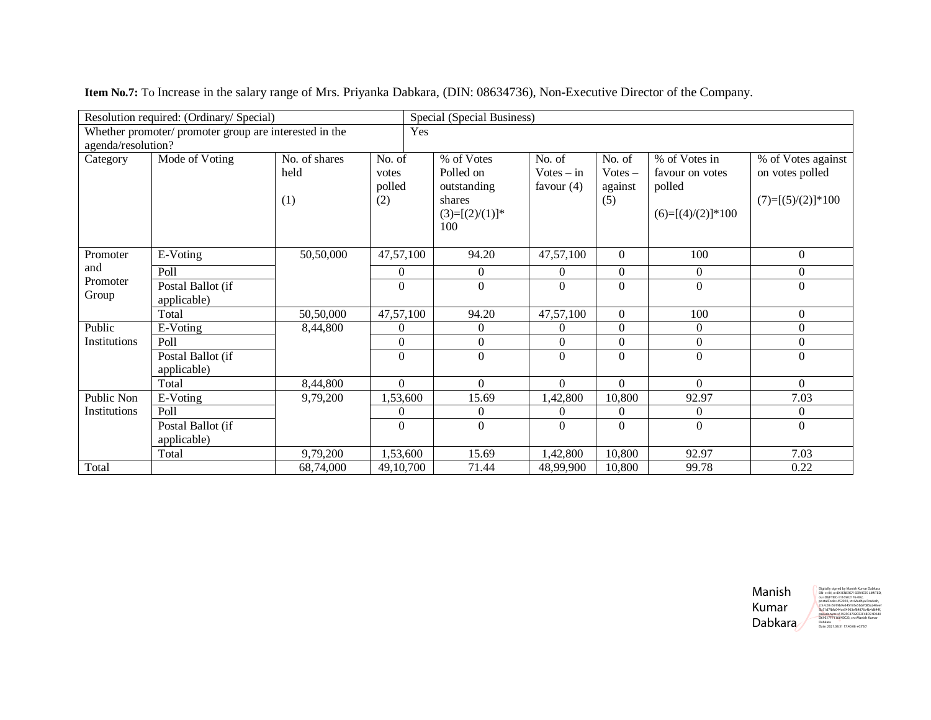|                    | Resolution required: (Ordinary/ Special)               |                              |                                  | Special (Special Business)                                                   |                                        |                                       |                                                                   |                                                              |
|--------------------|--------------------------------------------------------|------------------------------|----------------------------------|------------------------------------------------------------------------------|----------------------------------------|---------------------------------------|-------------------------------------------------------------------|--------------------------------------------------------------|
|                    | Whether promoter/ promoter group are interested in the |                              | Yes                              |                                                                              |                                        |                                       |                                                                   |                                                              |
| agenda/resolution? |                                                        |                              |                                  |                                                                              |                                        |                                       |                                                                   |                                                              |
| Category           | Mode of Voting                                         | No. of shares<br>held<br>(1) | No. of<br>votes<br>polled<br>(2) | % of Votes<br>Polled on<br>outstanding<br>shares<br>$(3)=[(2)/(1)]^*$<br>100 | No. of<br>$Votes - in$<br>favour $(4)$ | No. of<br>$Votes -$<br>against<br>(5) | % of Votes in<br>favour on votes<br>polled<br>$(6)=[(4)/(2)]*100$ | % of Votes against<br>on votes polled<br>$(7)=[(5)/(2)]*100$ |
| Promoter           | E-Voting                                               | 50,50,000                    | $\overline{47,57,100}$           | 94.20                                                                        | 47,57,100                              | $\Omega$                              | 100                                                               | $\mathbf{0}$                                                 |
| and                | Poll                                                   |                              | 0                                | $\Omega$                                                                     | $\Omega$                               | $\mathbf{0}$                          | 0                                                                 | $\mathbf{0}$                                                 |
| Promoter<br>Group  | Postal Ballot (if<br>applicable)                       |                              | $\Omega$                         | $\Omega$                                                                     | $\Omega$                               | $\Omega$                              | $\theta$                                                          | $\Omega$                                                     |
|                    | Total                                                  | 50,50,000                    | 47,57,100                        | 94.20                                                                        | 47,57,100                              | $\boldsymbol{0}$                      | 100                                                               | $\mathbf{0}$                                                 |
| Public             | E-Voting                                               | 8,44,800                     | $\Omega$                         | $\theta$                                                                     | $\Omega$                               | $\overline{0}$                        | 0                                                                 | $\boldsymbol{0}$                                             |
| Institutions       | Poll                                                   |                              | $\boldsymbol{0}$                 | $\boldsymbol{0}$                                                             | $\Omega$                               | $\boldsymbol{0}$                      | $\boldsymbol{0}$                                                  | $\boldsymbol{0}$                                             |
|                    | Postal Ballot (if<br>applicable)                       |                              | $\Omega$                         | $\Omega$                                                                     | $\Omega$                               | $\Omega$                              | $\theta$                                                          | $\Omega$                                                     |
|                    | Total                                                  | 8,44,800                     | $\overline{0}$                   | $\Omega$                                                                     | $\overline{0}$                         | $\boldsymbol{0}$                      | $\Omega$                                                          | $\overline{0}$                                               |
| Public Non         | E-Voting                                               | 9,79,200                     | 1,53,600                         | 15.69                                                                        | 1,42,800                               | 10,800                                | 92.97                                                             | 7.03                                                         |
| Institutions       | Poll                                                   |                              | $\theta$                         | $\theta$                                                                     | $\Omega$                               | $\mathbf{0}$                          | 0                                                                 | $\boldsymbol{0}$                                             |
|                    | Postal Ballot (if<br>applicable)                       |                              | $\theta$                         | $\theta$                                                                     | $\Omega$                               | $\Omega$                              | $\theta$                                                          | $\Omega$                                                     |
|                    | Total                                                  | 9,79,200                     | 1,53,600                         | 15.69                                                                        | 1,42,800                               | 10,800                                | 92.97                                                             | 7.03                                                         |
| Total              |                                                        | 68,74,000                    | 49, 10, 700                      | 71.44                                                                        | 48,99,900                              | 10,800                                | 99.78                                                             | 0.22                                                         |

**Item No.7:** To Increase in the salary range of Mrs. Priyanka Dabkara, (DIN: 08634736), Non-Executive Director of the Company.

Manish Kumar Dabkara

Digitally signed by Manish Kumar Dabkara DN: c=IN, o=EKI ENERGY SERVICES LIMITED, ou=DGFTIEC-1116902176-002, postalCode=452010, st=Madhya Pradesh, 2.5.4.20=5919b9e345195e5bb7085a240eef 5b51d7fbfc044ce54903ef84876c4b4d644f, pseudonym=A192FC4792CE2F4BD74D640 D69E17F711664EC23, cn=Manish Kumar Dabkara Date: 2021.08.31 17:40:08 +05'30'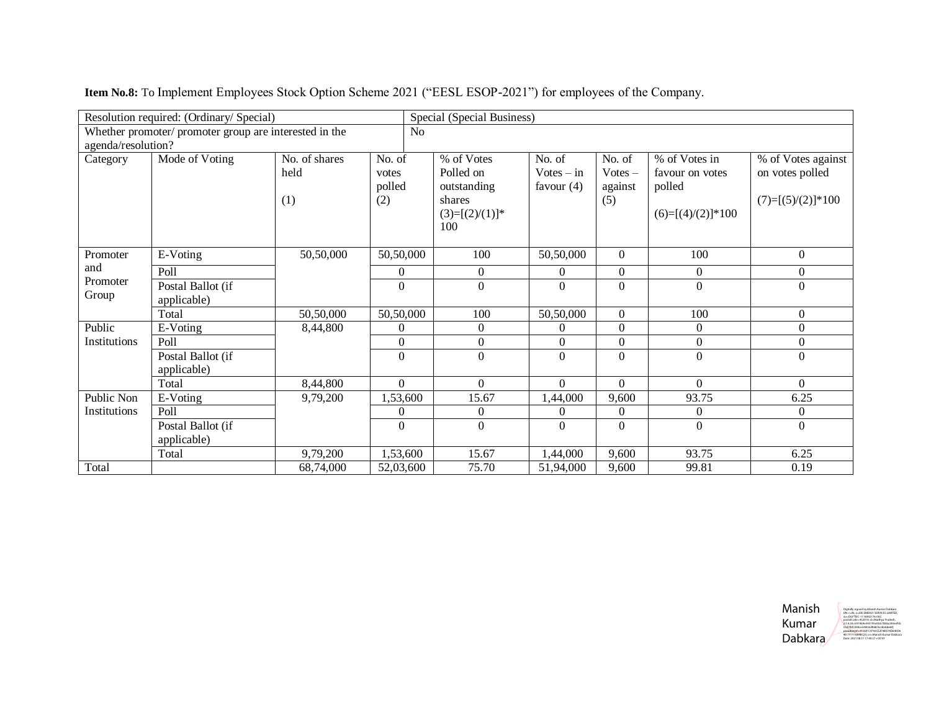| Resolution required: (Ordinary/ Special)                                     |                                  |                              |                                  | Special (Special Business)                                                   |                                        |                                       |                                                                   |                                                              |  |
|------------------------------------------------------------------------------|----------------------------------|------------------------------|----------------------------------|------------------------------------------------------------------------------|----------------------------------------|---------------------------------------|-------------------------------------------------------------------|--------------------------------------------------------------|--|
| Whether promoter/ promoter group are interested in the<br>agenda/resolution? |                                  |                              | No                               |                                                                              |                                        |                                       |                                                                   |                                                              |  |
| Category                                                                     | Mode of Voting                   | No. of shares<br>held<br>(1) | No. of<br>votes<br>polled<br>(2) | % of Votes<br>Polled on<br>outstanding<br>shares<br>$(3)=[(2)/(1)]^*$<br>100 | No. of<br>$Votes - in$<br>favour $(4)$ | No. of<br>$Votes -$<br>against<br>(5) | % of Votes in<br>favour on votes<br>polled<br>$(6)=[(4)/(2)]*100$ | % of Votes against<br>on votes polled<br>$(7)=[(5)/(2)]*100$ |  |
| Promoter<br>and<br>Promoter<br>Group                                         | E-Voting                         | 50,50,000                    | 50,50,000                        | 100                                                                          | 50,50,000                              | $\Omega$                              | 100                                                               | $\mathbf{0}$                                                 |  |
|                                                                              | Poll                             |                              | $\overline{0}$                   | $\Omega$                                                                     | $\Omega$                               | $\overline{0}$                        | $\overline{0}$                                                    | $\overline{0}$                                               |  |
|                                                                              | Postal Ballot (if<br>applicable) |                              | $\theta$                         | $\Omega$                                                                     | $\Omega$                               | $\Omega$                              | $\Omega$                                                          | $\Omega$                                                     |  |
|                                                                              | Total                            | 50,50,000                    | 50,50,000                        | 100                                                                          | 50,50,000                              | $\overline{0}$                        | 100                                                               | $\boldsymbol{0}$                                             |  |
| Public<br>Institutions                                                       | E-Voting                         | 8,44,800                     | $\theta$                         | $\Omega$                                                                     | $\Omega$                               | $\overline{0}$                        | $\overline{0}$                                                    | $\boldsymbol{0}$                                             |  |
|                                                                              | Poll                             |                              | $\boldsymbol{0}$                 | $\Omega$                                                                     | $\Omega$                               | $\boldsymbol{0}$                      | $\boldsymbol{0}$                                                  | $\boldsymbol{0}$                                             |  |
|                                                                              | Postal Ballot (if<br>applicable) |                              | $\Omega$                         | $\Omega$                                                                     | $\Omega$                               | $\Omega$                              | $\Omega$                                                          | $\mathbf{0}$                                                 |  |
|                                                                              | Total                            | 8,44,800                     | $\overline{0}$                   | $\Omega$                                                                     | $\Omega$                               | $\mathbf{0}$                          | $\Omega$                                                          | $\overline{0}$                                               |  |
| Public Non<br>Institutions                                                   | E-Voting                         | 9,79,200                     | 1,53,600                         | 15.67                                                                        | 1,44,000                               | 9,600                                 | 93.75                                                             | 6.25                                                         |  |
|                                                                              | Poll                             |                              | $\theta$                         | $\Omega$                                                                     | $\Omega$                               | $\overline{0}$                        | $\overline{0}$                                                    | $\boldsymbol{0}$                                             |  |
|                                                                              | Postal Ballot (if<br>applicable) |                              | $\theta$                         | $\Omega$                                                                     | $\Omega$                               | $\theta$                              | $\boldsymbol{0}$                                                  | $\boldsymbol{0}$                                             |  |
|                                                                              | Total                            | 9,79,200                     | 1,53,600                         | 15.67                                                                        | 1,44,000                               | 9,600                                 | 93.75                                                             | 6.25                                                         |  |
| Total                                                                        |                                  | 68,74,000                    | 52,03,600                        | 75.70                                                                        | 51,94,000                              | 9,600                                 | 99.81                                                             | 0.19                                                         |  |

**Item No.8:** To Implement Employees Stock Option Scheme 2021 ("EESL ESOP-2021") for employees of the Company.

Manish Kumar Dabkara